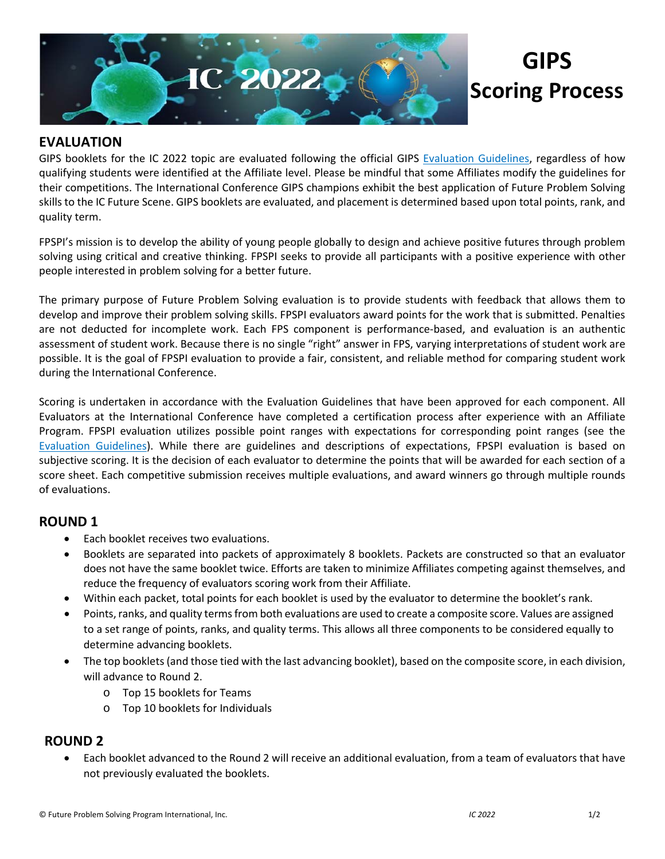

# **GIPS Scoring Process**

### **EVALUATION**

GIPS booklets for the IC 2022 topic are evaluated following the official GIPS [Evaluation Guidelines,](https://www.fpspimart.org/product/evaluation-guidelines/) regardless of how qualifying students were identified at the Affiliate level. Please be mindful that some Affiliates modify the guidelines for their competitions. The International Conference GIPS champions exhibit the best application of Future Problem Solving skills to the IC Future Scene. GIPS booklets are evaluated, and placement is determined based upon total points, rank, and quality term.

FPSPI's mission is to develop the ability of young people globally to design and achieve positive futures through problem solving using critical and creative thinking. FPSPI seeks to provide all participants with a positive experience with other people interested in problem solving for a better future.

The primary purpose of Future Problem Solving evaluation is to provide students with feedback that allows them to develop and improve their problem solving skills. FPSPI evaluators award points for the work that is submitted. Penalties are not deducted for incomplete work. Each FPS component is performance-based, and evaluation is an authentic assessment of student work. Because there is no single "right" answer in FPS, varying interpretations of student work are possible. It is the goal of FPSPI evaluation to provide a fair, consistent, and reliable method for comparing student work during the International Conference.

Scoring is undertaken in accordance with the Evaluation Guidelines that have been approved for each component. All Evaluators at the International Conference have completed a certification process after experience with an Affiliate Program. FPSPI evaluation utilizes possible point ranges with expectations for corresponding point ranges (see the [Evaluation Guidelines\)](https://www.fpspimart.org/product/evaluation-guidelines/). While there are guidelines and descriptions of expectations, FPSPI evaluation is based on subjective scoring. It is the decision of each evaluator to determine the points that will be awarded for each section of a score sheet. Each competitive submission receives multiple evaluations, and award winners go through multiple rounds of evaluations.

### **ROUND 1**

- Each booklet receives two evaluations.
- Booklets are separated into packets of approximately 8 booklets. Packets are constructed so that an evaluator does not have the same booklet twice. Efforts are taken to minimize Affiliates competing against themselves, and reduce the frequency of evaluators scoring work from their Affiliate.
- Within each packet, total points for each booklet is used by the evaluator to determine the booklet's rank.
- Points, ranks, and quality terms from both evaluations are used to create a composite score. Values are assigned to a set range of points, ranks, and quality terms. This allows all three components to be considered equally to determine advancing booklets.
- The top booklets (and those tied with the last advancing booklet), based on the composite score, in each division, will advance to Round 2.
	- o Top 15 booklets for Teams
	- o Top 10 booklets for Individuals

## **ROUND 2**

• Each booklet advanced to the Round 2 will receive an additional evaluation, from a team of evaluators that have not previously evaluated the booklets.